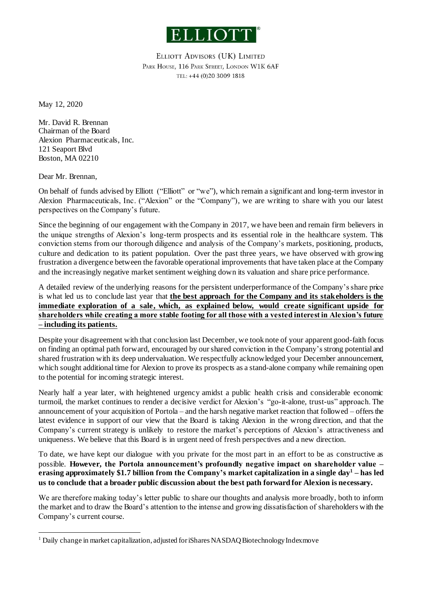

ELLIOTT ADVISORS (UK) LIMITED PARK HOUSE, 116 PARK STREET, LONDON W1K 6AF TEL: +44 (0)20 3009 1818

May 12, 2020

Mr. David R. Brennan Chairman of the Board Alexion Pharmaceuticals, Inc. 121 Seaport Blvd Boston, MA 02210

Dear Mr. Brennan,

 $\overline{a}$ 

On behalf of funds advised by Elliott ("Elliott" or "we"), which remain a significant and long-term investor in Alexion Pharmaceuticals, Inc. ("Alexion" or the "Company"), we are writing to share with you our latest perspectives on the Company's future.

Since the beginning of our engagement with the Company in 2017, we have been and remain firm believers in the unique strengths of Alexion's long-term prospects and its essential role in the healthcare system. This conviction stems from our thorough diligence and analysis of the Company's markets, positioning, products, culture and dedication to its patient population. Over the past three years, we have observed with growing frustration a divergence between the favorable operational improvements that have taken place at the Company and the increasingly negative market sentiment weighing down its valuation and share price performance.

A detailed review of the underlying reasons for the persistent underperformance of the Company's share price is what led us to conclude last year that **the best approach for the Company and its stakeholders is the immediate exploration of a sale, which, as explained below, would create significant upside for shareholders while creating a more stable footing for all those with a vested interest in Alexion's future – including its patients.**

Despite your disagreement with that conclusion last December, we took note of your apparent good-faith focus on finding an optimal path forward, encouraged by our shared conviction in the Company's strong potential and shared frustration with its deep undervaluation. We respectfully acknowledged your December announcement, which sought additional time for Alexion to prove its prospects as a stand-alone company while remaining open to the potential for incoming strategic interest.

Nearly half a year later, with heightened urgency amidst a public health crisis and considerable economic turmoil, the market continues to render a decisive verdict for Alexion's "go-it-alone, trust-us" approach. The announcement of your acquisition of Portola – and the harsh negative market reaction that followed – offers the latest evidence in support of our view that the Board is taking Alexion in the wrong direction, and that the Company's current strategy is unlikely to restore the market's perceptions of Alexion's attractiveness and uniqueness. We believe that this Board is in urgent need of fresh perspectives and a new direction.

To date, we have kept our dialogue with you private for the most part in an effort to be as constructive as possible. **However, the Portola announcement's profoundly negative impact on shareholder value – erasing approximately \$1.7 billion from the Company's market capitalization in a single day<sup>1</sup> – has led us to conclude that a broader public discussion about the best path forward for Alexion is necessary.**

We are therefore making today's letter public to share our thoughts and analysis more broadly, both to inform the market and to draw the Board's attention to the intense and growing dissatisfaction of shareholders with the Company's current course.

<sup>&</sup>lt;sup>1</sup> Daily change in market capitalization, adjusted for iShares NASDAQ Biotechnology Index move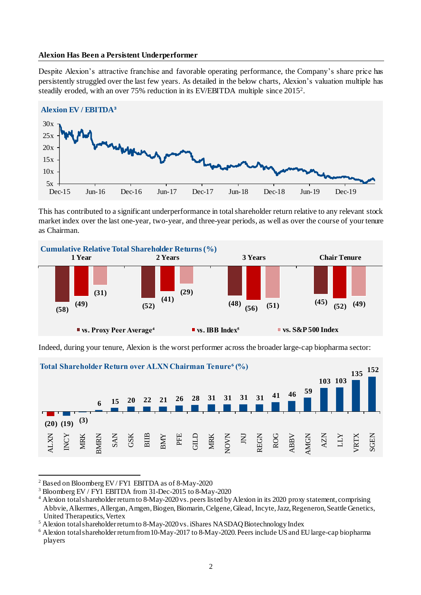## **Alexion Has Been a Persistent Underperformer**

Despite Alexion's attractive franchise and favorable operating performance, the Company's share price has persistently struggled over the last few years. As detailed in the below charts, Alexion's valuation multiple has steadily eroded, with an over 75% reduction in its EV/EBITDA multiple since 2015<sup>2</sup> .



This has contributed to a significant underperformance in total shareholder return relative to any relevant stock market index over the last one-year, two-year, and three-year periods, as well as over the course of your tenure as Chairman



Indeed, during your tenure, Alexion is the worst performer across the broader large-cap biopharma sector: 456



<sup>2</sup> Based on Bloomberg EV / FY1 EBITDA as of 8-May-2020

 $\overline{a}$ 

<sup>3</sup> Bloomberg EV / FY1 EBITDA from 31-Dec-2015 to 8-May-2020

<sup>&</sup>lt;sup>4</sup> Alexion total shareholder return to 8-May-2020 vs. peers listed by Alexion in its 2020 proxy statement, comprising Abbvie, Alkermes, Allergan, Amgen, Biogen, Biomarin, Celgene, Gilead, Incyte, Jazz, Regeneron, Seattle Genetics, United Therapeutics, Vertex

<sup>5</sup> Alexion total shareholder return to 8-May-2020 vs. iShares NASDAQ Biotechnology Index

<sup>6</sup> Alexion total shareholder return from 10-May-2017 to 8-May-2020. Peers include US and EU large-cap biopharma players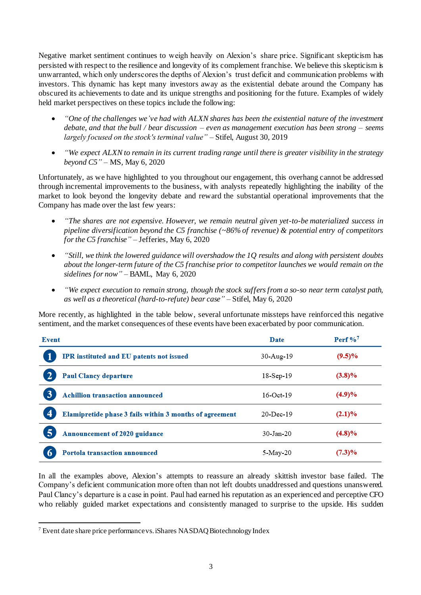Negative market sentiment continues to weigh heavily on Alexion's share price. Significant skepticism has persisted with respect to the resilience and longevity of its complement franchise. We believe this skepticism is unwarranted, which only underscores the depths of Alexion's trust deficit and communication problems with investors. This dynamic has kept many investors away as the existential debate around the Company has obscured its achievements to date and its unique strengths and positioning for the future. Examples of widely held market perspectives on these topics include the following:

- *"One of the challenges we've had with ALXN shares has been the existential nature of the investment debate, and that the bull / bear discussion – even as management execution has been strong – seems largely focused on the stock's terminal value"* – Stifel, August 30, 2019
- *"We expect ALXN to remain in its current trading range until there is greater visibility in the strategy beyond C5"* – MS, May 6, 2020

Unfortunately, as we have highlighted to you throughout our engagement, this overhang cannot be addressed through incremental improvements to the business, with analysts repeatedly highlighting the inability of the market to look beyond the longevity debate and reward the substantial operational improvements that the Company has made over the last few years:

- *"The shares are not expensive. However, we remain neutral given yet-to-be materialized success in pipeline diversification beyond the C5 franchise (~86% of revenue) & potential entry of competitors for the C5 franchise"* – Jefferies, May 6, 2020
- *"Still, we think the lowered guidance will overshadow the 1Q results and along with persistent doubts about the longer-term future of the C5 franchise prior to competitor launches we would remain on the sidelines for now"* – BAML, May 6, 2020
- *"We expect execution to remain strong, though the stock suffers from a so-so near term catalyst path, as well as a theoretical (hard-to-refute) bear case"* – Stifel, May 6, 2020

More recently, as highlighted in the table below, several unfortunate missteps have reinforced this negative sentiment, and the market consequences of these events have been exacerbated by poor communication.

| Event                                                                              | Date      | Perf $\%$ <sup>7</sup> |
|------------------------------------------------------------------------------------|-----------|------------------------|
| IPR instituted and EU patents not issued                                           | 30-Aug-19 | $(9.5)\%$              |
| <b>Paul Clancy departure</b>                                                       | 18-Sep-19 | $(3.8)\%$              |
| 3<br><b>Achillion transaction announced</b>                                        | 16-Oct-19 | (4.9)%                 |
| $\overline{\mathbf{4}}$<br>Elamipretide phase 3 fails within 3 months of agreement | 20-Dec-19 | (2.1)%                 |
| 5<br><b>Announcement of 2020 guidance</b>                                          | 30-Jan-20 | $(4.8)\%$              |
| <b>Portola transaction announced</b><br>O                                          | 5-May-20  | $(7.3)\%$              |

In all the examples above, Alexion's attempts to reassure an already skittish investor base failed. The Company's deficient communication more often than not left doubts unaddressed and questions unanswered. Paul Clancy's departure is a case in point. Paul had earned his reputation as an experienced and perceptive CFO who reliably guided market expectations and consistently managed to surprise to the upside. His sudden

 $\overline{a}$ <sup>7</sup> Event date share price performance vs. iShares NASDAQ Biotechnology Index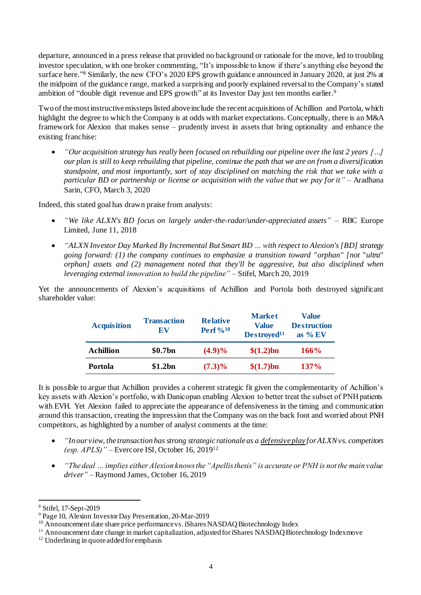departure, announced in a press release that provided no background or rationale for the move, led to troubling investor speculation, with one broker commenting, "It's impossible to know if there's anything else beyond the surface here." <sup>8</sup> Similarly, the new CFO's 2020 EPS growth guidance announced in January 2020, at just 2% at the midpoint of the guidance range, marked a surprising and poorly explained reversal to the Company's stated ambition of "double digit revenue and EPS growth" at its Investor Day just ten months earlier.<sup>9</sup>

Two of the most instructive missteps listed above include the recent acquisitions of Achillion and Portola, which highlight the degree to which the Company is at odds with market expectations. Conceptually, there is an M&A framework for Alexion that makes sense – prudently invest in assets that bring optionality and enhance the existing franchise:

 *"Our acquisition strategy has really been focused on rebuilding our pipeline over the last 2 years […] our plan is still to keep rebuilding that pipeline, continue the path that we are on from a diversification standpoint, and most importantly, sort of stay disciplined on matching the risk that we take with a particular BD or partnership or license or acquisition with the value that we pay for it"* – Aradhana Sarin, CFO, March 3, 2020

Indeed, this stated goal has drawn praise from analysts:

- *"We like ALXN's BD focus on largely under-the-radar/under-appreciated assets"*  RBC Europe Limited, June 11, 2018
- *"ALXN Investor Day Marked By Incremental But Smart BD … with respect to Alexion's [BD] strategy going forward: (1) the company continues to emphasize a transition toward "orphan" [not "ultra" orphan] assets and (2) management noted that they'll be aggressive, but also disciplined when leveraging external innovation to build the pipeline"* – Stifel, March 20, 2019

Yet the announcements of Alexion's acquisitions of Achillion and Portola both destroyed significant shareholder value:

| <b>Acquisition</b> | <b>Transaction</b><br>EV | <b>Relative</b><br>Perf $\%^{10}$ | <b>Market</b><br>Value<br>Destroyed <sup>11</sup> | <b>Value</b><br><b>Destruction</b><br>as $\%$ EV |
|--------------------|--------------------------|-----------------------------------|---------------------------------------------------|--------------------------------------------------|
| Achillion          | \$0.7bn                  | $(4.9)\%$                         | $$(1.2)$ bn                                       | 166%                                             |
| Portola            | \$1.2bn                  | $(7.3)\%$                         | \$(1.7)bn                                         | $137\%$                                          |

It is possible to argue that Achillion provides a coherent strategic fit given the complementarity of Achillion's key assets with Alexion's portfolio, with Danicopan enabling Alexion to better treat the subset of PNH patients with EVH. Yet Alexion failed to appreciate the appearance of defensiveness in the timing and communication around this transaction, creating the impression that the Company was on the back foot and worried about PNH competitors, as highlighted by a number of analyst comments at the time:

- *"In our view, the transaction has strong strategic rationale as a defensive play for ALXN vs. competitors (esp. APLS)"* – Evercore ISI, October 16, 2019<sup>12</sup>
- *"The deal … implies either Alexion knows the "Apellis thesis" is accurate or PNH is not the main value driver"* – Raymond James, October 16, 2019

 $\overline{a}$ <sup>8</sup> Stifel, 17-Sept-2019

<sup>9</sup> Page 10, Alexion Investor Day Presentation, 20-Mar-2019

<sup>&</sup>lt;sup>10</sup> Announcement date share price performance vs. iShares NASDAQ Biotechnology Index

<sup>&</sup>lt;sup>11</sup> Announcement date change in market capitalization, adjusted for iShares NASDAQ Biotechnology Index move

<sup>&</sup>lt;sup>12</sup> Underlining in quote added for emphasis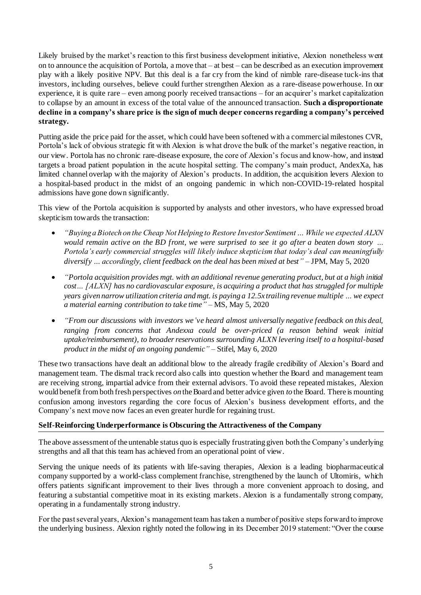Likely bruised by the market's reaction to this first business development initiative, Alexion nonetheless went on to announce the acquisition of Portola, a move that – at best – can be described as an execution improvement play with a likely positive NPV. But this deal is a far cry from the kind of nimble rare-disease tuck-ins that investors, including ourselves, believe could further strengthen Alexion as a rare-disease powerhouse. In our experience, it is quite rare – even among poorly received transactions – for an acquirer's market capitalization to collapse by an amount in excess of the total value of the announced transaction. **Such a disproportionate decline in a company's share price is the sign of much deeper concerns regarding a company's perceived strategy.**

Putting aside the price paid for the asset, which could have been softened with a commercial milestones CVR, Portola's lack of obvious strategic fit with Alexion is what drove the bulk of the market's negative reaction, in our view. Portola has no chronic rare-disease exposure, the core of Alexion's focus and know-how, and instead targets a broad patient population in the acute hospital setting. The company's main product, AndexXa, has limited channel overlap with the majority of Alexion's products. In addition, the acquisition levers Alexion to a hospital-based product in the midst of an ongoing pandemic in which non-COVID-19-related hospital admissions have gone down significantly.

This view of the Portola acquisition is supported by analysts and other investors, who have expressed broad skepticism towards the transaction:

- *"Buying a Biotech on the Cheap Not Helping to Restore Investor Sentiment … While we expected ALXN would remain active on the BD front, we were surprised to see it go after a beaten down story … Portola's early commercial struggles will likely induce skepticism that today's deal can meaningfully diversify … accordingly, client feedback on the deal has been mixed at best"* – JPM, May 5, 2020
- *"Portola acquisition provides mgt. with an additional revenue generating product, but at a high initial cost… [ALXN] has no cardiovascular exposure, is acquiring a product that has struggled for multiple years given narrow utilization criteria and mgt. is paying a 12.5x trailing revenue multiple … we expect a material earning contribution to take time"* – MS, May 5, 2020
- *"From our discussions with investors we've heard almost universally negative feedback on this deal, ranging from concerns that Andexxa could be over-priced (a reason behind weak initial uptake/reimbursement), to broader reservations surrounding ALXN levering itself to a hospital-based product in the midst of an ongoing pandemic"* – Stifel, May 6, 2020

These two transactions have dealt an additional blow to the already fragile credibility of Alexion's Board and management team. The dismal track record also calls into question whether the Board and management team are receiving strong, impartial advice from their external advisors. To avoid these repeated mistakes, Alexion would benefit from both fresh perspectives *on* the Board and better advice given *to* the Board. There is mounting confusion among investors regarding the core focus of Alexion's business development efforts, and the Company's next move now faces an even greater hurdle for regaining trust.

## **Self-Reinforcing Underperformance is Obscuring the Attractiveness of the Company**

The above assessment of the untenable status quo is especially frustrating given both the Company's underlying strengths and all that this team has achieved from an operational point of view.

Serving the unique needs of its patients with life-saving therapies, Alexion is a leading biopharmaceutical company supported by a world-class complement franchise, strengthened by the launch of Ultomiris, which offers patients significant improvement to their lives through a more convenient approach to dosing, and featuring a substantial competitive moat in its existing markets. Alexion is a fundamentally strong company, operating in a fundamentally strong industry.

For the past several years, Alexion's management team has taken a number of positive steps forward to improve the underlying business. Alexion rightly noted the following in its December 2019 statement: "Over the course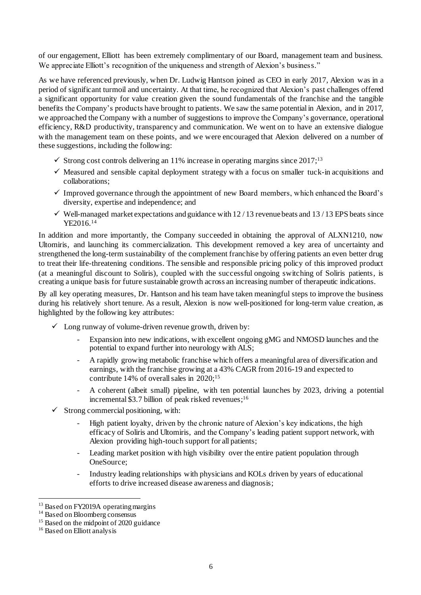of our engagement, Elliott has been extremely complimentary of our Board, management team and business. We appreciate Elliott's recognition of the uniqueness and strength of Alexion's business."

As we have referenced previously, when Dr. Ludwig Hantson joined as CEO in early 2017, Alexion was in a period of significant turmoil and uncertainty. At that time, he recognized that Alexion's past challenges offered a significant opportunity for value creation given the sound fundamentals of the franchise and the tangible benefits the Company's products have brought to patients. We saw the same potential in Alexion, and in 2017, we approached the Company with a number of suggestions to improve the Company's governance, operational efficiency, R&D productivity, transparency and communication. We went on to have an extensive dialogue with the management team on these points, and we were encouraged that Alexion delivered on a number of these suggestions, including the following:

- $\checkmark$  Strong cost controls delivering an 11% increase in operating margins since 2017;<sup>13</sup>
- $\checkmark$  Measured and sensible capital deployment strategy with a focus on smaller tuck-in acquisitions and collaborations;
- $\checkmark$  Improved governance through the appointment of new Board members, which enhanced the Board's diversity, expertise and independence; and
- $\checkmark$  Well-managed market expectations and guidance with 12/13 revenue beats and 13/13 EPS beats since YE2016. 14

In addition and more importantly, the Company succeeded in obtaining the approval of ALXN1210, now Ultomiris, and launching its commercialization. This development removed a key area of uncertainty and strengthened the long-term sustainability of the complement franchise by offering patients an even better drug to treat their life-threatening conditions. The sensible and responsible pricing policy of this improved product (at a meaningful discount to Soliris), coupled with the successful ongoing switching of Soliris patients, is creating a unique basis for future sustainable growth across an increasing number of therapeutic indications.

By all key operating measures, Dr. Hantson and his team have taken meaningful steps to improve the business during his relatively short tenure. As a result, Alexion is now well-positioned for long-term value creation, as highlighted by the following key attributes:

- $\checkmark$  Long runway of volume-driven revenue growth, driven by:
	- Expansion into new indications, with excellent ongoing gMG and NMOSD launches and the potential to expand further into neurology with ALS;
	- A rapidly growing metabolic franchise which offers a meaningful area of diversification and earnings, with the franchise growing at a 43% CAGR from 2016-19 and expected to contribute 14% of overall sales in 2020; 15
	- A coherent (albeit small) pipeline, with ten potential launches by 2023, driving a potential incremental \$3.7 billion of peak risked revenues; 16
- $\checkmark$  Strong commercial positioning, with:
	- High patient loyalty, driven by the chronic nature of Alexion's key indications, the high efficacy of Soliris and Ultomiris, and the Company's leading patient support network, with Alexion providing high-touch support for all patients;
	- Leading market position with high visibility over the entire patient population through OneSource;
	- Industry leading relationships with physicians and KOLs driven by years of educational efforts to drive increased disease awareness and diagnosis;

1

<sup>&</sup>lt;sup>13</sup> Based on FY2019A operating margins

<sup>&</sup>lt;sup>14</sup> Based on Bloomberg consensus

<sup>&</sup>lt;sup>15</sup> Based on the midpoint of 2020 guidance

<sup>&</sup>lt;sup>16</sup> Based on Elliott analysis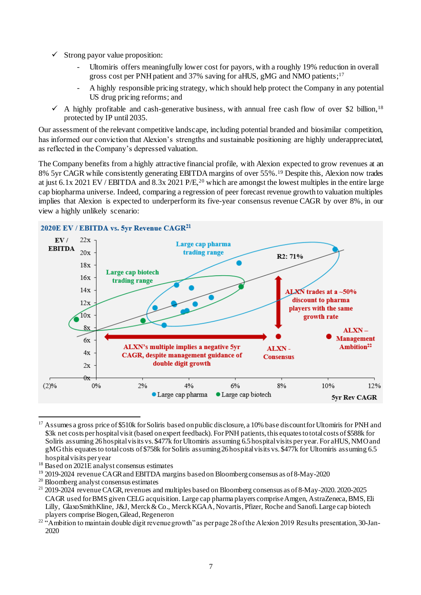- $\checkmark$  Strong payor value proposition:
	- Ultomiris offers meaningfully lower cost for payors, with a roughly 19% reduction in overall gross cost per PNH patient and 37% saving for aHUS, gMG and NMO patients; 17
	- A highly responsible pricing strategy, which should help protect the Company in any potential US drug pricing reforms; and
- $\checkmark$  A highly profitable and cash-generative business, with annual free cash flow of over \$2 billion,<sup>18</sup> protected by IP until 2035.

Our assessment of the relevant competitive landscape, including potential branded and biosimilar competition, has informed our conviction that Alexion's strengths and sustainable positioning are highly underappreciated, as reflected in the Company's depressed valuation.

The Company benefits from a highly attractive financial profile, with Alexion expected to grow revenues at an 8% 5yr CAGR while consistently generating EBITDA margins of over 55%. <sup>19</sup> Despite this, Alexion now trades at just 6.1x 2021 EV / EBITDA and 8.3x 2021 P/E, <sup>20</sup> which are amongst the lowest multiples in the entire large cap biopharma universe. Indeed, comparing a regression of peer forecast revenue growth to valuation multiples implies that Alexion is expected to underperform its five-year consensus revenue CAGR by over 8%, in our view a highly unlikely scenario:



 $\overline{a}$ <sup>17</sup> Assumes a gross price of \$510k for Soliris based on public disclosure, a 10% base discount for Ultomiris for PNH and \$3k net costs per hospital visit (based on expert feedback). For PNH patients, this equates to total costs of \$588k for Soliris assuming 26 hospital visits vs. \$477k for Ultomiris assuming 6.5 hospital visits per year. For aHUS, NMO and gMG this equates to total costs of \$758k for Soliris assuming 26 hospital visits vs. \$477k for Ultomiris assuming 6.5 hospital visits per year

<sup>&</sup>lt;sup>18</sup> Based on 2021E analyst consensus estimates

<sup>&</sup>lt;sup>19</sup> 2019-2024 revenue CAGR and EBITDA margins based on Bloomberg consensus as of 8-May-2020

<sup>20</sup> Bloomberg analyst consensus estimates

<sup>21</sup> 2019-2024 revenue CAGR, revenues and multiples based on Bloomberg consensus as of 8-May-2020. 2020-2025 CAGR used for BMS given CELG acquisition. Large cap pharma players comprise Amgen, AstraZeneca, BMS, Eli Lilly, GlaxoSmithKline, J&J, Merck & Co., Merck KGAA, Novartis, Pfizer, Roche and Sanofi. Large cap biotech players comprise Biogen, Gilead, Regeneron

<sup>&</sup>lt;sup>22</sup> "Ambition to maintain double digit revenue growth" as per page 28 of the Alexion 2019 Results presentation, 30-Jan-2020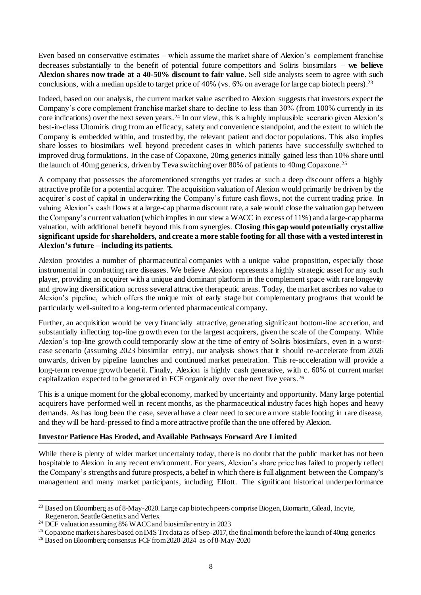Even based on conservative estimates – which assume the market share of Alexion's complement franchise decreases substantially to the benefit of potential future competitors and Soliris biosimilars – **we believe Alexion shares now trade at a 40-50% discount to fair value.** Sell side analysts seem to agree with such conclusions, with a median upside to target price of 40% (vs. 6% on average for large cap biotech peers). 23

Indeed, based on our analysis, the current market value ascribed to Alexion suggests that investors expect the Company's core complement franchise market share to decline to less than 30% (from 100% currently in its core indications) over the next seven years. <sup>24</sup> In our view, this is a highly implausible scenario given Alexion's best-in-class Ultomiris drug from an efficacy, safety and convenience standpoint, and the extent to which the Company is embedded within, and trusted by, the relevant patient and doctor populations. This also implies share losses to biosimilars well beyond precedent cases in which patients have successfully switched to improved drug formulations. In the case of Copaxone, 20mg generics initially gained less than 10% share until the launch of 40mg generics, driven by Teva switching over 80% of patients to 40mg Copaxone. 25

A company that possesses the aforementioned strengths yet trades at such a deep discount offers a highly attractive profile for a potential acquirer. The acquisition valuation of Alexion would primarily be driven by the acquirer's cost of capital in underwriting the Company's future cash flows, not the current trading price. In valuing Alexion's cash flows at a large-cap pharma discount rate, a sale would close the valuation gap between the Company's current valuation (which implies in our view a WACC in excess of 11%) and a large-cap pharma valuation, with additional benefit beyond this from synergies. **Closing this gap would potentially crystallize significant upside for shareholders, and create a more stable footing for all those with a vested interest in Alexion's future – including its patients.**

Alexion provides a number of pharmaceutical companies with a unique value proposition, especially those instrumental in combatting rare diseases. We believe Alexion represents a highly strategic asset for any such player, providing an acquirer with a unique and dominant platform in the complement space with rare longevity and growing diversification across several attractive therapeutic areas. Today, the market ascribes no value to Alexion's pipeline, which offers the unique mix of early stage but complementary programs that would be particularly well-suited to a long-term oriented pharmaceutical company.

Further, an acquisition would be very financially attractive, generating significant bottom-line accretion, and substantially inflecting top-line growth even for the largest acquirers, given the scale of the Company. While Alexion's top-line growth could temporarily slow at the time of entry of Soliris biosimilars, even in a worstcase scenario (assuming 2023 biosimilar entry), our analysis shows that it should re-accelerate from 2026 onwards, driven by pipeline launches and continued market penetration. This re-acceleration will provide a long-term revenue growth benefit. Finally, Alexion is highly cash generative, with c. 60% of current market capitalization expected to be generated in FCF organically over the next five years. 26

This is a unique moment for the global economy, marked by uncertainty and opportunity. Many large potential acquirers have performed well in recent months, as the pharmaceutical industry faces high hopes and heavy demands. As has long been the case, several have a clear need to secure a more stable footing in rare disease, and they will be hard-pressed to find a more attractive profile than the one offered by Alexion.

## **Investor Patience Has Eroded, and Available Pathways Forward Are Limited**

While there is plenty of wider market uncertainty today, there is no doubt that the public market has not been hospitable to Alexion in any recent environment. For years, Alexion's share price has failed to properly reflect the Company's strengths and future prospects, a belief in which there is full alignment between the Company's management and many market participants, including Elliott. The significant historical underperformance

 $\overline{a}$ <sup>23</sup> Based on Bloomberg as of 8-May-2020. Large cap biotech peers comprise Biogen, Biomarin, Gilead, Incyte, Regeneron, Seattle Genetics and Vertex

<sup>&</sup>lt;sup>24</sup> DCF valuation assuming 8% WACC and biosimilar entry in 2023

<sup>&</sup>lt;sup>25</sup> Copaxone market shares based on IMS Trx data as of Sep-2017, the final month before the launch of 40mg generics

<sup>26</sup> Based on Bloomberg consensus FCF from 2020-2024 as of 8-May-2020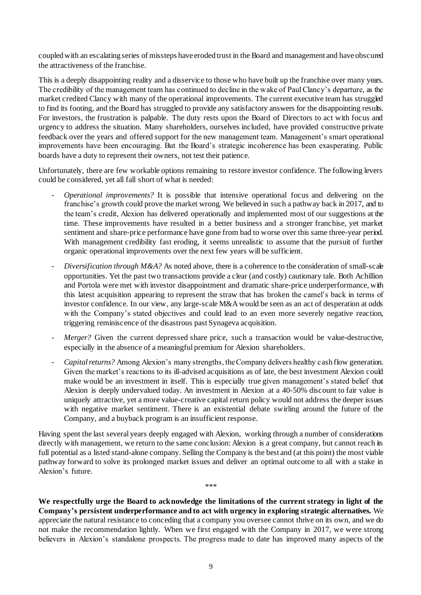coupled with an escalating series of missteps have eroded trust in the Board and management and have obscured the attractiveness of the franchise.

This is a deeply disappointing reality and a disservice to those who have built up the franchise over many years. The credibility of the management team has continued to decline in the wake of Paul Clancy's departure, as the market credited Clancy with many of the operational improvements. The current executive team has struggled to find its footing, and the Board has struggled to provide any satisfactory answers for the disappointing results. For investors, the frustration is palpable. The duty rests upon the Board of Directors to act with focus and urgency to address the situation. Many shareholders, ourselves included, have provided constructive private feedback over the years and offered support for the new management team. Management's smart operational improvements have been encouraging. But the Board's strategic incoherence has been exasperating. Public boards have a duty to represent their owners, not test their patience.

Unfortunately, there are few workable options remaining to restore investor confidence. The following levers could be considered, yet all fall short of what is needed:

- *Operational improvements?* It is possible that intensive operational focus and delivering on the franchise's growth could prove the market wrong. We believed in such a pathway back in 2017, and to the team's credit, Alexion has delivered operationally and implemented most of our suggestions at the time. These improvements have resulted in a better business and a stronger franchise, yet market sentiment and share-price performance have gone from bad to worse over this same three-year period. With management credibility fast eroding, it seems unrealistic to assume that the pursuit of further organic operational improvements over the next few years will be sufficient.
- Diversification through M&A? As noted above, there is a coherence to the consideration of small-scale opportunities. Yet the past two transactions provide a clear (and costly) cautionary tale. Both Achillion and Portola were met with investor disappointment and dramatic share-price underperformance, with this latest acquisition appearing to represent the straw that has broken the camel's back in terms of investor confidence. In our view, any large-scale M&A would be seen as an act of desperation at odds with the Company's stated objectives and could lead to an even more severely negative reaction, triggering reminiscence of the disastrous past Synageva acquisition.
- *Merger?* Given the current depressed share price, such a transaction would be value-destructive, especially in the absence of a meaningful premium for Alexion shareholders.
- *Capital returns?* Among Alexion's many strengths, the Company delivers healthy cash flow generation. Given the market's reactions to its ill-advised acquisitions as of late, the best investment Alexion could make would be an investment in itself. This is especially true given management's stated belief that Alexion is deeply undervalued today. An investment in Alexion at a 40-50% discount to fair value is uniquely attractive, yet a more value-creative capital return policy would not address the deeper issues with negative market sentiment. There is an existential debate swirling around the future of the Company, and a buyback program is an insufficient response.

Having spent the last several years deeply engaged with Alexion, working through a number of considerations directly with management, we return to the same conclusion: Alexion is a great company, but cannot reach its full potential as a listed stand-alone company. Selling the Company is the best and (at this point) the most viable pathway forward to solve its prolonged market issues and deliver an optimal outcome to all with a stake in Alexion's future.

**We respectfully urge the Board to acknowledge the limitations of the current strategy in light of the Company's persistent underperformance and to act with urgency in exploring strategic alternatives.** We appreciate the natural resistance to conceding that a company you oversee cannot thrive on its own, and we do not make the recommendation lightly. When we first engaged with the Company in 2017, we were strong believers in Alexion's standalone prospects. The progress made to date has improved many aspects of the

\*\*\*